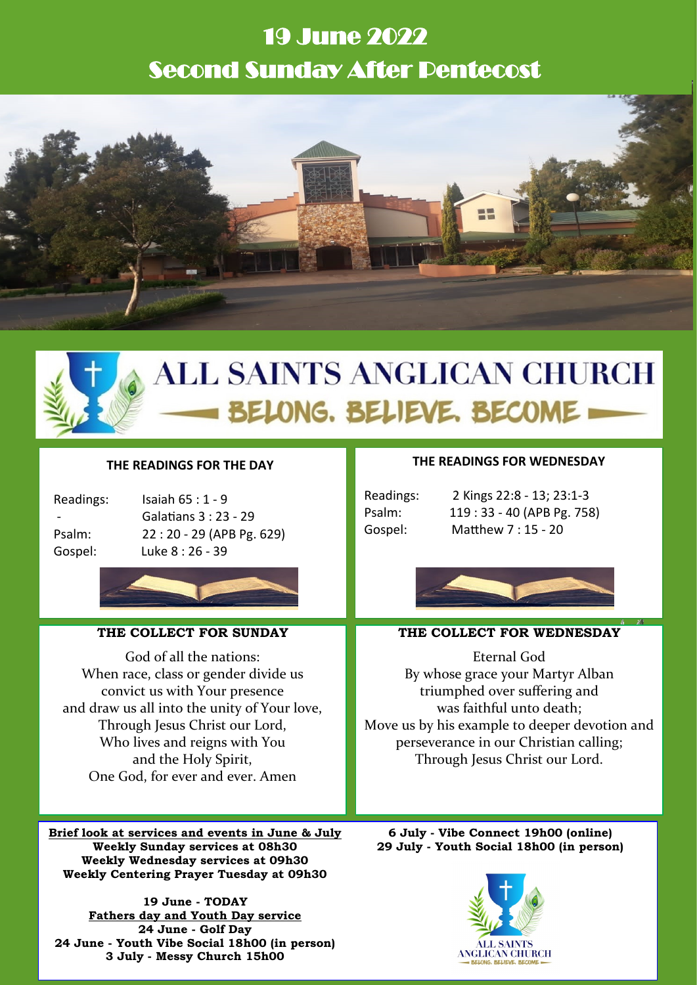# 19 June 2022 Second Sunday After Pentecost





# **ALL SAINTS ANGLICAN CHURCH** BELONG. BELIEVE. BECOME =

## **THE READINGS FOR THE DAY**

| Readings |
|----------|
|          |
| Psalm:   |
| Gosnel·  |

 $\therefore$  Isaiah 65 : 1 - 9 - Galatians 3 : 23 - 29 22 : 20 - 29 (APB Pg. 629) Luke 8 : 26 - 39



# **THE COLLECT FOR SUNDAY**

God of all the nations: When race, class or gender divide us convict us with Your presence and draw us all into the unity of Your love, Through Jesus Christ our Lord, Who lives and reigns with You and the Holy Spirit, One God, for ever and ever. Amen

**Brief look at services and events in June & July Weekly Sunday services at 08h30 Weekly Wednesday services at 09h30 Weekly Centering Prayer Tuesday at 09h30**

**19 June - TODAY Fathers day and Youth Day service 24 June - Golf Day 24 June - Youth Vibe Social 18h00 (in person) 3 July - Messy Church 15h00**

### **THE READINGS FOR WEDNESDAY**

Readings: 2 Kings 22:8 - 13; 23:1-3 Psalm: 119 : 33 - 40 (APB Pg. 758) Gospel: Matthew 7 : 15 - 20



#### **THE COLLECT FOR WEDNESDAY**

Eternal God By whose grace your Martyr Alban triumphed over suffering and was faithful unto death; Move us by his example to deeper devotion and perseverance in our Christian calling; Through Jesus Christ our Lord.

**6 July - Vibe Connect 19h00 (online) 29 July - Youth Social 18h00 (in person)**